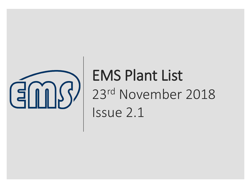

# EMS Plant List 23rd November 2018 Issue 2.1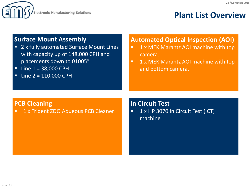

## **Plant List Overview**

### **Surface Mount Assembly**

- 2 x fully automated Surface Mount Lines with capacity up of 148,000 CPH and placements down to 01005"
- $\blacksquare$  Line  $1 = 38,000$  CPH
- $\blacksquare$  Line 2 = 110,000 CPH

### **Automated Optical Inspection (AOI)**

- 1 x MEK Marantz AOI machine with top camera.
- 1 x MEK Marantz AOI machine with top and bottom camera.

### **PCB Cleaning**

■ 1 x Trident ZDO Aqueous PCB Cleaner

**In Circuit Test**

**1** 1 x HP 3070 In Circuit Test (ICT) machine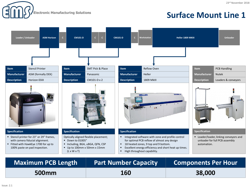**Electronic Manufacturing Solutions** 

# **Surface Mount Line 1**



| <b>Maximum PCB Length</b> | <b>Part Number Capacity</b> | <b>Components Per Hour</b> |  |
|---------------------------|-----------------------------|----------------------------|--|
| <b>500mm</b>              | <b>160</b>                  | 38,000                     |  |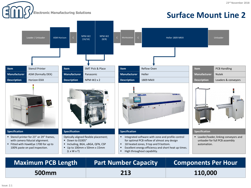**Electronic Manufacturing Solutions** 

# **Surface Mount Line 2**



| <b>Maximum PCB Length</b> | <b>Part Number Capacity</b> | <b>Components Per Hour</b> |  |
|---------------------------|-----------------------------|----------------------------|--|
| 500mm                     | 213                         | 110,000                    |  |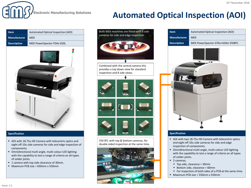

# **Automated Optical Inspection (AOI)**

| Item                | Automated Optical Inspection (AOI) |  |  |  |  |
|---------------------|------------------------------------|--|--|--|--|
| <b>Manufacturer</b> | <b>MEK</b>                         |  |  |  |  |
| <b>Description</b>  | MEK PowerSpector FDAz 650L         |  |  |  |  |
|                     |                                    |  |  |  |  |

#### **Specification**

- AOI with 18.75u HD Camera with telecentric optics and eight off 10u side cameras for side and edge inspection of components.
- Omnidirectional multi angle, multi-colour LED lighting with the capability to test a range of criteria on all types of solder joints.
- 1 camera with top side clearance of 30mm.
- Maximum PCB size =  $650$ mm x 550mm



550 BTL with top & bottom cameras, for double sided inspection at the same time.





#### **Specification**

- AOI with two 18.75u HD Camera with telecentric optics and eight off 10u side cameras for side and edge inspection of components.
- Omnidirectional multi angle, multi-colour LED lighting with the capability to test a range of criteria on all types of solder joints.
- 2 cameras;
	- Top side, clearance = 30mm
	- Bottom side, clearance = 60mm
	- For inspection of both sides of a PCB at the same time.
- Maximum PCB size = 550mm x 550mm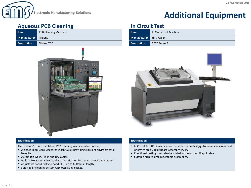

# **Additional Equipment**

### **Aqueous PCB Cleaning In Circuit Test**

| <b>Item</b>         | <b>PCB Cleaning Machine</b> |
|---------------------|-----------------------------|
| <b>Manufacturer</b> | Trident                     |
| <b>Description</b>  | Trident ZDO                 |
|                     |                             |



#### **Specification**

The Trident ZDO is a batch load PCB cleaning machine, which offers;

- A closed-loop (Zero Discharge Wash Cycle) providing excellent environmental benefits.
- Automatic Wash, Rinse and Dry Cycles.
- Built-In Programmable Cleanliness Verification Testing via a resistivity meter.
- Adjustable board racks to hand PCBs up to 600mm in length.
- Spray in air cleaning system with oscillating basket.



#### **Specification**

- In Circuit Test (ICT) machine for use with custom test jigs to provide in circuit test of any Printed Circuit Board Assembly (PCBA).
- Functional testing could also be added to the process if applicable.
- Suitable high volume repeatable assemblies.